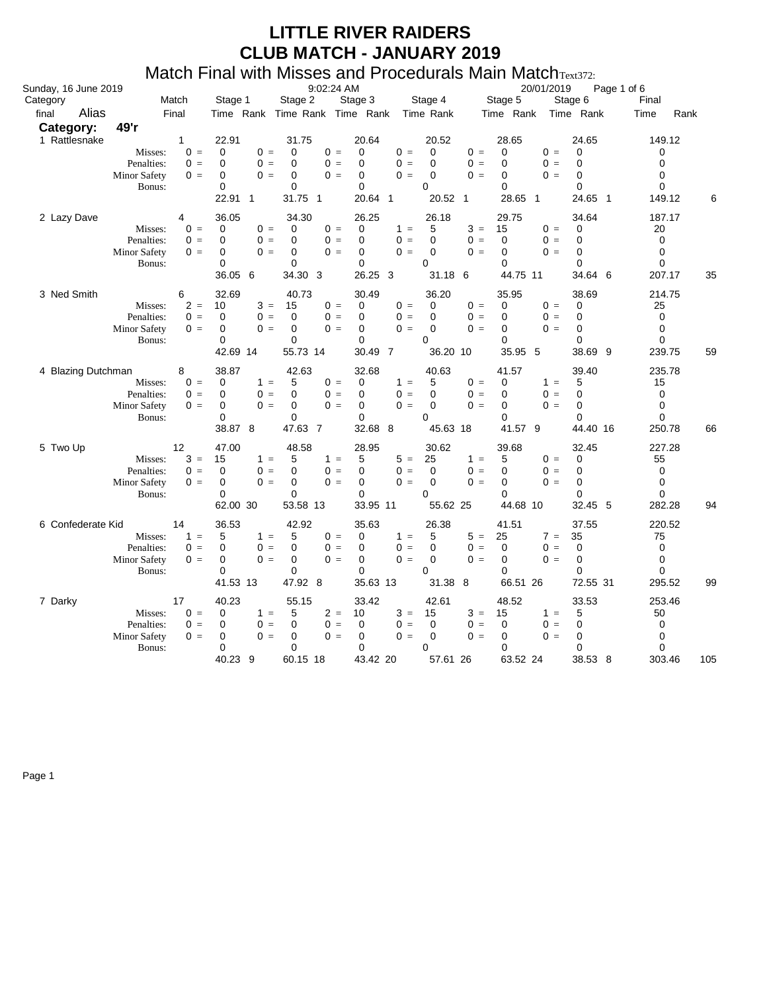#### Match Final with Misses and Procedurals Main MatchText372:

| Sunday, 16 June 2019 |                                                                        |                                                                                        | 9:02:24 AM                                                                                                            |                                                                     |                                                                                                 | 20/01/2019                                                                                         | Page 1 of 6                                                                                 |                                                                           |
|----------------------|------------------------------------------------------------------------|----------------------------------------------------------------------------------------|-----------------------------------------------------------------------------------------------------------------------|---------------------------------------------------------------------|-------------------------------------------------------------------------------------------------|----------------------------------------------------------------------------------------------------|---------------------------------------------------------------------------------------------|---------------------------------------------------------------------------|
| Category             | Match                                                                  | Stage 1                                                                                | Stage 2                                                                                                               |                                                                     | Stage 3 Stage 4 Stage 5                                                                         |                                                                                                    | Stage 6                                                                                     | Final                                                                     |
| Alias<br>final       | Final                                                                  |                                                                                        | Time Rank Time Rank Time Rank Time Rank                                                                               |                                                                     |                                                                                                 | Time Rank Time Rank                                                                                |                                                                                             | Time<br>Rank                                                              |
| Category:            | 49'r                                                                   |                                                                                        |                                                                                                                       |                                                                     |                                                                                                 |                                                                                                    |                                                                                             |                                                                           |
| 1 Rattlesnake        | $\mathbf{1}$<br>Misses:<br>Penalties:<br><b>Minor Safety</b><br>Bonus: | 22.91<br>$\Omega$<br>$0 =$<br>$0 =$<br>$\Omega$<br>$0 =$<br>0<br>0<br>22.91 1          | 31.75<br>$0 =$<br>$0 =$<br>0<br>$0 =$<br>$0 =$<br>$\Omega$<br>$0 =$<br>0<br>$0 =$<br>0<br>31.75 1                     | 20.64<br>$\Omega$<br>$\Omega$<br>$\Omega$<br>$\Omega$<br>20.64 1    | 20.52<br>$0 =$<br>$\Omega$<br>$\Omega$<br>$0 =$<br>$\mathbf 0$<br>$0 =$<br>$\Omega$<br>20.52 1  | 28.65<br>$0 =$<br>$\mathbf 0$<br>$0 =$<br>$\Omega$<br>$0 =$<br>$\Omega$<br>$\Omega$<br>28.65<br>-1 | 24.65<br>$\Omega$<br>$0 =$<br>$0 =$<br>$\Omega$<br>$\Omega$<br>$0 =$<br>$\Omega$<br>24.65 1 | 149.12<br>0<br>$\Omega$<br>$\Omega$<br>$\Omega$<br>149.12                 |
| 2 Lazy Dave          | 4<br>Misses:<br>Penalties:<br>Minor Safety<br>Bonus:                   | 36.05<br>$0 =$<br>0<br>$0 =$<br>0<br>$0 =$<br>0<br>0<br>36.05 6                        | 34.30<br>$0 =$<br>$0 =$<br>0<br>$0 =$<br>$0 =$<br>0<br>$\mathbf 0$<br>$0 =$<br>$0 =$<br>$\mathbf 0$<br>34.30 3        | 26.25<br>0<br>$\Omega$<br>0<br>0<br>26.25 3                         | 26.18<br>$1 =$<br>5<br>$\mathbf 0$<br>$0 =$<br>$\mathbf 0$<br>$0 =$<br>$\Omega$<br>31.18 6      | 29.75<br>$3 =$<br>15<br>$0 =$<br>$\mathbf 0$<br>$0 =$<br>$\mathbf 0$<br>$\Omega$<br>44.75 11       | 34.64<br>$0 =$<br>0<br>$0 =$<br>0<br>$0 =$<br>$\Omega$<br>$\Omega$<br>34.64 6               | 187.17<br>20<br>$\mathbf 0$<br>$\mathbf 0$<br>0<br>35<br>207.17           |
| 3 Ned Smith          | 6<br>Misses:<br>Penalties:<br><b>Minor Safety</b><br>Bonus:            | 32.69<br>$2 =$<br>10<br>$0 =$<br>$\Omega$<br>$0 =$<br>0<br>0<br>42.69 14               | 40.73<br>$3 =$<br>$0 =$<br>15<br>$0 =$<br>$\mathbf 0$<br>$0 =$<br>$0 =$<br>$\mathbf 0$<br>$0 =$<br>0<br>55.73 14      | 30.49<br>0<br>$\Omega$<br>0<br>0<br>30.49 7                         | 36.20<br>$\mathbf 0$<br>$0 =$<br>$0 =$<br>$\Omega$<br>$0 =$<br>$\Omega$<br>$\Omega$<br>36.20 10 | 35.95<br>$0 =$<br>0<br>$0 =$<br>$\Omega$<br>$0 =$<br>$\Omega$<br>$\Omega$<br>35.95 5               | 38.69<br>$0 =$<br>0<br>$0 =$<br>$\Omega$<br>$0 =$<br>$\Omega$<br>$\Omega$<br>38.69 9        | 214.75<br>25<br>$\mathbf 0$<br>$\Omega$<br>$\Omega$<br>239.75<br>59       |
| 4 Blazing Dutchman   | 8<br>Misses:<br>Penalties:<br><b>Minor Safety</b><br>Bonus:            | 38.87<br>$0 =$<br>0<br>$0 =$<br>$\Omega$<br>$0 =$<br>$\Omega$<br>0<br>38.87 8          | 42.63<br>$0 =$<br>$1 =$<br>5<br>$0 =$<br>$\Omega$<br>$0 =$<br>$\mathbf 0$<br>$0 =$<br>$0 =$<br>$\mathbf 0$<br>47.63 7 | 32.68<br>0<br>0<br>$\mathbf 0$<br>0<br>32.68 8                      | 40.63<br>$1 =$<br>5<br>$0 =$<br>$\Omega$<br>$0 =$<br>$\mathbf 0$<br>0<br>45.63 18               | 41.57<br>$0 =$<br>0<br>$0 =$<br>$\Omega$<br>$\Omega$<br>$0 =$<br>$\Omega$<br>41.57 9               | 39.40<br>$1 =$<br>5<br>$\Omega$<br>$0 =$<br>$0 =$<br>0<br>$\Omega$<br>44.40 16              | 235.78<br>15<br>$\mathbf 0$<br>$\mathbf 0$<br>$\mathbf 0$<br>250.78<br>66 |
| 5 Two Up             | 12<br>Misses:<br>Penalties:<br>Minor Safety<br>Bonus:                  | 47.00<br>$3 =$<br>15<br>$0 =$<br>$\Omega$<br>$\Omega$<br>$0 =$<br>$\Omega$<br>62.00 30 | 48.58<br>$1 =$<br>5<br>$0 =$<br>$\Omega$<br>$0 =$<br>$\Omega$<br>$0 =$<br>$0 =$<br>$\Omega$<br>53.58 13               | 28.95<br>$1 =$<br>5<br>$\Omega$<br>$\Omega$<br>$\Omega$<br>33.95 11 | 30.62<br>$5 =$<br>25<br>$0 =$<br>$\Omega$<br>$\mathbf 0$<br>$0 =$<br>$\Omega$<br>55.62 25       | 39.68<br>5<br>$1 =$<br>$0 =$<br>$\mathbf 0$<br>$0 =$<br>$\Omega$<br>$\Omega$<br>44.68 10           | 32.45<br>$0 =$<br>0<br>$0 =$<br>0<br>$0 =$<br>$\Omega$<br>$\Omega$<br>32.45 5               | 227.28<br>55<br>$\mathbf 0$<br>$\Omega$<br>$\Omega$<br>282.28<br>94       |
| 6 Confederate Kid    | 14<br>Misses:<br>Penalties:<br><b>Minor Safety</b><br>Bonus:           | 36.53<br>$1 =$<br>5<br>$0 =$<br>0<br>$0 =$<br>0<br>$\Omega$<br>41.53 13                | 42.92<br>$1 =$<br>5<br>$0 =$<br>$0 =$<br>$0 =$<br>$\Omega$<br>0<br>$0 =$<br>$\Omega =$<br>$\mathbf 0$<br>47.92 8      | 35.63<br>0<br>0<br>0<br>$\mathbf 0$<br>35.63 13                     | 26.38<br>$1 =$<br>5<br>$0 =$<br>$\Omega$<br>$\Omega =$<br>$\Omega$<br>0<br>31.38 8              | 41.51<br>$5 =$<br>25<br>$\Omega$<br>$0 =$<br>$0 =$<br>$\Omega$<br>$\Omega$<br>66.51 26             | 37.55<br>$7 =$<br>35<br>$0 =$<br>$\Omega$<br>$0 =$<br>0<br>$\Omega$<br>72.55 31             | 220.52<br>75<br>$\mathbf 0$<br>$\mathbf 0$<br>$\mathbf 0$<br>295.52<br>99 |
| 7 Darky              | 17<br>Misses:<br>Penalties:<br><b>Minor Safety</b><br>Bonus:           | 40.23<br>$0 =$<br>0<br>$0 =$<br>0<br>0<br>$0 =$<br>$\Omega$<br>40.23 9                 | 55.15<br>$1 =$<br>5<br>$0 =$<br>0<br>$0 =$<br>$\mathbf 0$<br>$0 =$<br>$0 =$<br>$\Omega$<br>60.15 18                   | 33.42<br>$2 =$<br>10<br>0<br>0<br>$\Omega$<br>43.42 20              | 42.61<br>$3 =$<br>15<br>$0 =$<br>0<br>$\Omega$<br>$0 =$<br>$\Omega$<br>57.61 26                 | 48.52<br>$3 =$<br>15<br>$0 =$<br>0<br>$0 =$<br>0<br>$\Omega$<br>63.52 24                           | 33.53<br>5<br>$1 =$<br>$0 =$<br>0<br>$0 =$<br>0<br>$\Omega$<br>38.53 8                      | 253.46<br>50<br>0<br>0<br>$\Omega$<br>303.46<br>105                       |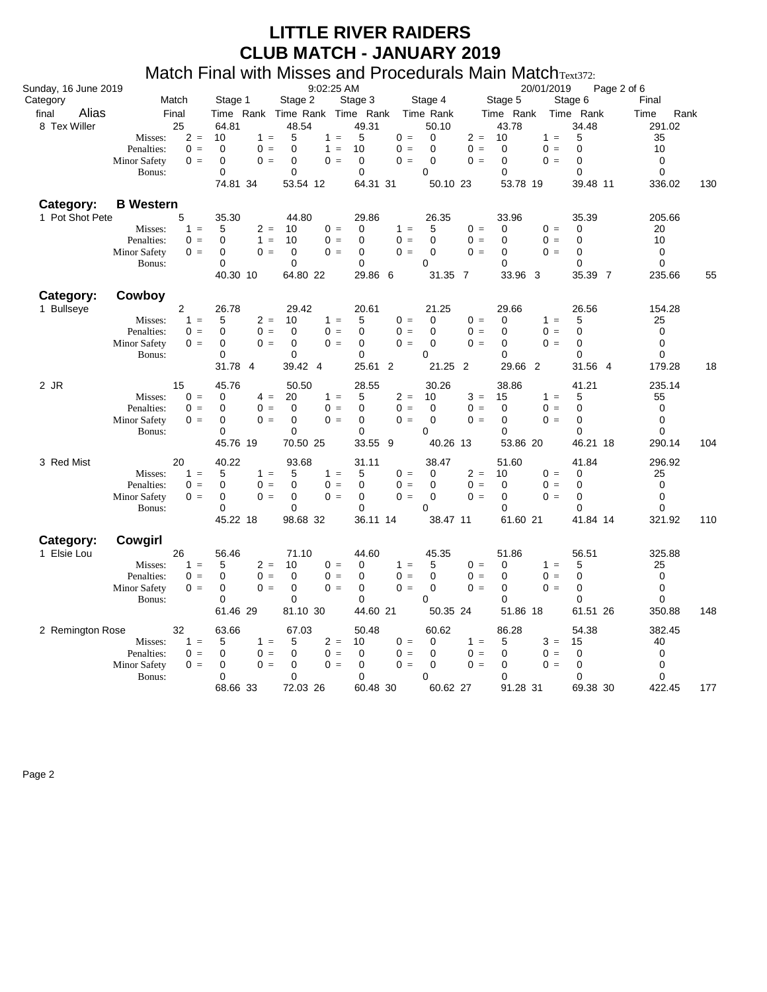#### Match Final with Misses and Procedurals Main Match<sub>Text372</sub>:

| Sunday, 16 June 2019           |                                                     | 9:02:25 AM<br>Stage 1    |                                              |                                     |                    | 20/01/2019                                | Page 2 of 6              |                            |
|--------------------------------|-----------------------------------------------------|--------------------------|----------------------------------------------|-------------------------------------|--------------------|-------------------------------------------|--------------------------|----------------------------|
| Category                       | Match                                               |                          | Stage 2                                      | Stage 3                             | Stage 4            | Stage 5                                   | Stage 6                  | Final                      |
| Alias<br>final<br>8 Tex Willer | Final<br>25                                         | 64.81                    | Time Rank Time Rank Time Rank<br>48.54       | 49.31                               | Time Rank<br>50.10 | Time Rank<br>43.78                        | Time Rank<br>34.48       | Rank<br>Time<br>291.02     |
|                                | $2 =$<br>Misses:                                    | 10<br>$1 =$              | 5<br>$1 =$                                   | 5<br>$0 =$                          | 0                  | $2 =$<br>10                               | 5<br>$1 =$               | 35                         |
|                                | $0 =$<br>Penalties:                                 | $0 =$<br>$\Omega$        | $\mathbf 0$<br>$1 =$                         | 10<br>$0 =$                         | $\mathbf 0$        | $0 =$<br>$\mathbf 0$                      | $0 =$<br>$\mathbf 0$     | 10                         |
|                                | <b>Minor Safety</b><br>$0 =$                        | $0 =$<br>0               | $\mathbf 0$<br>$0 =$                         | $\mathbf 0$<br>$0 =$                | $\mathbf 0$        | $0 =$<br>$\mathbf 0$                      | $0 =$<br>$\mathbf 0$     | $\mathbf 0$                |
|                                | Bonus:                                              | $\Omega$                 | $\mathbf 0$                                  | $\mathbf 0$                         | $\Omega$           | $\Omega$                                  | $\Omega$                 | $\mathbf 0$                |
|                                |                                                     | 74.81 34                 | 53.54 12                                     | 64.31 31                            | 50.10 23           | 53.78 19                                  | 39.48 11                 | 336.02<br>130              |
| Category:                      | <b>B</b> Western                                    |                          |                                              |                                     |                    |                                           |                          |                            |
| 1 Pot Shot Pete                | 5                                                   | 35.30                    | 44.80                                        | 29.86                               | 26.35              | 33.96                                     | 35.39                    | 205.66                     |
|                                | $1 =$<br>Misses:                                    | 5<br>$2 =$               | 10<br>$0 =$                                  | $1 =$<br>0                          | 5                  | $0 =$<br>0                                | $0 =$<br>$\mathbf 0$     | 20                         |
|                                | Penalties:<br>$0 =$                                 | 0<br>$1 =$               | $0 =$<br>10                                  | $0 =$<br>0                          | $\mathbf 0$        | $0 =$<br>0                                | $0 =$<br>0               | 10                         |
|                                | <b>Minor Safety</b><br>$0 =$                        | 0<br>$0 =$               | 0<br>$0 =$                                   | 0<br>$0 =$                          | $\Omega$           | $0 =$<br>0                                | $0 =$<br>$\Omega$        | 0                          |
|                                | Bonus:                                              | 0                        | $\mathbf 0$                                  | 0                                   | 0                  | 0                                         | 0                        | 0                          |
|                                |                                                     | 40.30 10                 | 64.80 22                                     | 29.86 6                             | 31.35 7            | 33.96 3                                   | 35.39 7                  | 235.66<br>55               |
| Category:                      | Cowboy                                              |                          |                                              |                                     |                    |                                           |                          |                            |
| 1 Bullseye                     | 2                                                   | 26.78                    | 29.42                                        | 20.61                               | 21.25              | 29.66                                     | 26.56                    | 154.28                     |
|                                | $1 =$<br>Misses:                                    | 5<br>$2 =$               | $1 =$<br>10                                  | 5<br>$0 =$                          | $\mathbf 0$        | $0 =$<br>$\mathbf 0$                      | 5<br>$1 =$               | 25                         |
|                                | Penalties:<br>$0 =$                                 | $0 =$<br>0               | $\mathbf 0$<br>$0 =$                         | $\mathbf 0$<br>$0 =$                | $\mathbf 0$        | $0 =$<br>$\mathbf 0$                      | $0 =$<br>$\mathbf 0$     | $\mathbf 0$                |
|                                | <b>Minor Safety</b><br>$0 =$                        | $0 =$<br>0               | 0<br>$0 =$                                   | 0<br>$0 =$                          | $\mathbf 0$        | $0 =$<br>0                                | 0<br>$0 =$               | $\mathbf 0$                |
|                                | Bonus:                                              | $\Omega$                 | $\Omega$                                     | $\Omega$                            | $\Omega$           | $\Omega$                                  | $\Omega$                 | $\Omega$                   |
|                                |                                                     | 31.78 4                  | 39.42 4                                      | 25.61 2                             | 21.25 2            | 29.66 2                                   | 31.56 4                  | 179.28<br>18               |
| 2 JR                           | 15                                                  | 45.76                    | 50.50                                        | 28.55                               | 30.26              | 38.86                                     | 41.21                    | 235.14                     |
|                                | $0 =$<br>Misses:                                    | $4 =$<br>0               | 20<br>$1 =$                                  | $2 =$<br>5                          | 10                 | $3 =$<br>15                               | $1 =$<br>5               | 55                         |
|                                | Penalties:<br>$0 =$                                 | $0 =$<br>$\Omega$        | $\Omega$<br>$0 =$                            | $\Omega$<br>$0 =$                   | $\mathbf 0$        | $0 =$<br>$\mathbf 0$                      | $0 =$<br>0               | $\mathbf 0$                |
|                                | <b>Minor Safety</b><br>$0 =$                        | 0<br>$0 =$<br>0          | $\mathbf 0$<br>$0 =$<br>$\mathbf 0$          | $\mathbf 0$<br>$0 =$<br>$\mathbf 0$ | $\mathbf 0$<br>0   | $0 =$<br>$\mathbf 0$<br>$\Omega$          | $0 =$<br>0<br>$\Omega$   | 0<br>$\mathbf 0$           |
|                                | Bonus:                                              | 45.76 19                 | 70.50 25                                     | 33.55 9                             | 40.26 13           | 53.86 20                                  | 46.21 18                 | 104<br>290.14              |
|                                |                                                     |                          |                                              |                                     |                    |                                           |                          |                            |
| 3 Red Mist                     | 20                                                  | 40.22                    | 93.68                                        | 31.11                               | 38.47              | 51.60                                     | 41.84                    | 296.92                     |
|                                | Misses:<br>$1 =$                                    | 5<br>$1 =$               | 5<br>$1 =$                                   | 5<br>$0 =$                          | 0                  | $2 =$<br>10                               | $0 =$<br>0               | 25                         |
|                                | Penalties:<br>$0 =$<br><b>Minor Safety</b><br>$0 =$ | $0 =$<br>0<br>$0 =$<br>0 | $\mathbf 0$<br>$0 =$<br>0<br>$0 =$           | 0<br>$0 =$<br>0<br>$0 =$            | $\mathbf 0$<br>0   | $0 =$<br>$\mathbf 0$<br>$0 =$<br>0        | $0 =$<br>0<br>$0 =$<br>0 | $\mathbf 0$<br>$\mathbf 0$ |
|                                | Bonus:                                              | 0                        | 0                                            | 0                                   | 0                  | 0                                         | $\Omega$                 | 0                          |
|                                |                                                     | 45.22 18                 | 98.68 32                                     | 36.11 14                            | 38.47 11           | 61.60 21                                  | 41.84 14                 | 321.92<br>110              |
|                                |                                                     |                          |                                              |                                     |                    |                                           |                          |                            |
| Category:                      | Cowgirl                                             |                          |                                              |                                     |                    |                                           |                          |                            |
| 1 Elsie Lou                    | 26                                                  | 56.46                    | 71.10                                        | 44.60                               | 45.35              | 51.86                                     | 56.51                    | 325.88                     |
|                                | $1 =$<br>Misses:                                    | $2 =$<br>5               | $0 =$<br>10                                  | $1 =$<br>0                          | 5                  | $0 =$<br>0                                | 5<br>$1 =$               | 25                         |
|                                | Penalties:<br>$0 =$<br>Minor Safety<br>$0 =$        | $0 =$<br>0<br>$0 =$<br>0 | $\mathbf 0$<br>$0 =$<br>$\mathbf 0$<br>$0 =$ | $\mathbf 0$<br>$0 =$<br>0<br>$0 =$  | $\mathbf 0$<br>0   | $0 =$<br>$\mathbf 0$<br>$0 =$<br>$\Omega$ | $0 =$<br>0<br>$0 =$<br>0 | $\mathbf 0$<br>0           |
|                                | Bonus:                                              | $\Omega$                 | 0                                            | $\Omega$                            | $\Omega$           | $\Omega$                                  | $\Omega$                 | $\Omega$                   |
|                                |                                                     | 61.46 29                 | 81.10 30                                     | 44.60 21                            | 50.35 24           | 51.86 18                                  | 61.51 26                 | 350.88<br>148              |
|                                | 32                                                  | 63.66                    | 67.03                                        | 50.48                               | 60.62              | 86.28                                     | 54.38                    | 382.45                     |
| 2 Remington Rose               | Misses:<br>$1 =$                                    | 5<br>$1 =$               | $2 =$<br>5                                   | 10<br>$0 =$                         | 0                  | 5<br>$1 =$                                | $3 =$<br>15              | 40                         |
|                                | Penalties:<br>$0 =$                                 | 0<br>$0 =$               | $\mathbf 0$<br>$0 =$                         | 0<br>$0 =$                          | 0                  | $0 =$<br>0                                | $0 =$<br>0               | $\mathbf 0$                |
|                                | <b>Minor Safety</b><br>$0 =$                        | $0 =$<br>0               | $\mathbf 0$<br>$0 =$                         | 0<br>$0 =$                          | 0                  | $0 =$<br>0                                | $0 =$<br>0               | 0                          |
|                                | Bonus:                                              | $\mathbf 0$              | $\mathbf 0$                                  | $\mathbf 0$                         | 0                  | $\mathbf 0$                               | 0                        | $\mathbf 0$                |
|                                |                                                     | 68.66 33                 | 72.03 26                                     | 60.48 30                            | 60.62 27           | 91.28 31                                  | 69.38 30                 | 422.45<br>177              |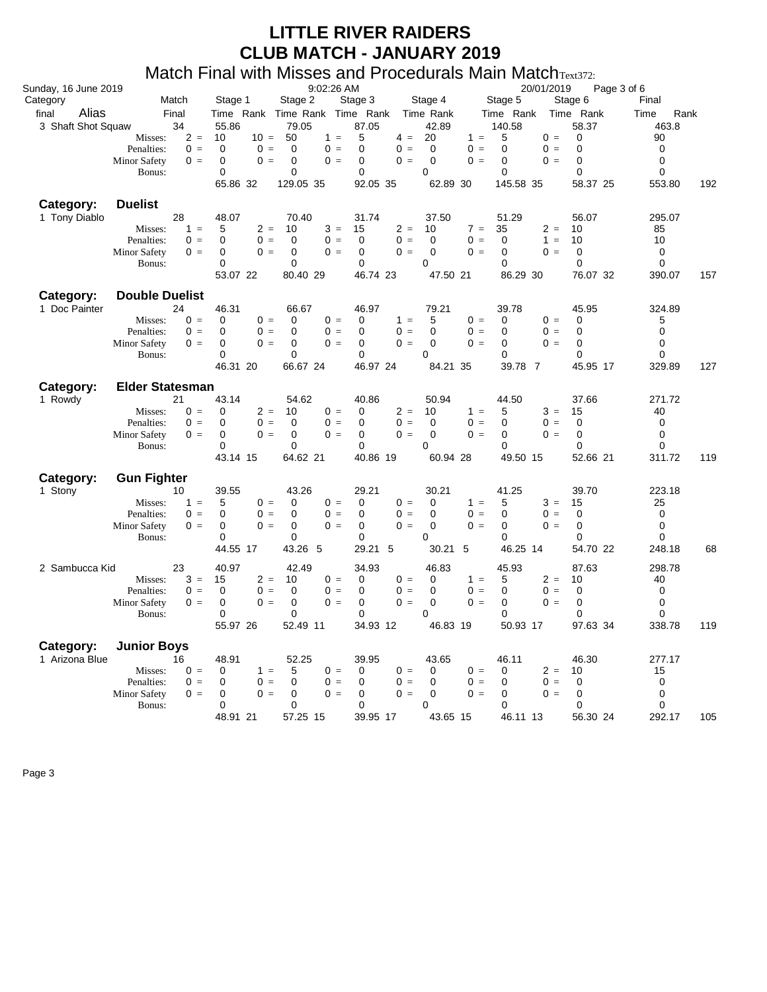#### Match Final with Misses and Procedurals Main MatchText372:

|                      | יי יש                        |                      | $\frac{1}{2}$                 | u i u                               | $\sim$ 10000001010 $\sim$ 101011 $\sim$ 101010111 $\sim$ 12. |                      |               |
|----------------------|------------------------------|----------------------|-------------------------------|-------------------------------------|--------------------------------------------------------------|----------------------|---------------|
| Sunday, 16 June 2019 |                              |                      | 9:02:26 AM                    |                                     | 20/01/2019                                                   | Page 3 of 6          |               |
| Category             | Match                        | Stage 1              | Stage 2                       | Stage 3<br>Stage 4                  | Stage 5                                                      | Stage 6              | Final         |
| Alias<br>final       | Final                        |                      | Time Rank Time Rank Time Rank | Time Rank                           | Time Rank                                                    | Time Rank            | Rank<br>Time  |
| 3 Shaft Shot Squaw   | 34                           | 55.86                | 79.05                         | 87.05<br>42.89                      | 140.58                                                       | 58.37                | 463.8         |
|                      | $2 =$<br>Misses:             | 10                   | $10 = 50$<br>$1 =$            | 5<br>20<br>$4 =$                    | 5<br>$1 =$                                                   | $0 =$<br>0           | 90            |
|                      | $0 =$<br>Penalties:          | $\mathbf 0$<br>$0 =$ | $\mathbf 0$<br>$0 =$          | $\mathbf 0$<br>$0 =$<br>$\mathbf 0$ | $0 =$<br>$\Omega$                                            | $0 =$<br>$\mathbf 0$ | $\mathbf 0$   |
|                      | <b>Minor Safety</b><br>$0 =$ | $0 =$<br>$\Omega$    | 0<br>$0 =$                    | $0 =$<br>$\Omega$<br>$\Omega$       | $0 =$<br>$\Omega$                                            | $0 =$<br>$\Omega$    | $\Omega$      |
|                      | Bonus:                       | 0                    | 0                             | 0<br>0                              | $\mathbf 0$                                                  | 0                    | $\mathbf 0$   |
|                      |                              | 65.86 32             | 129.05 35                     | 92.05 35<br>62.89 30                | 145.58 35                                                    | 58.37 25             | 192<br>553.80 |
| Category:            | <b>Duelist</b>               |                      |                               |                                     |                                                              |                      |               |
| 1 Tony Diablo        | 28                           | 48.07                | 70.40                         | 31.74<br>37.50                      | 51.29                                                        | 56.07                | 295.07        |
|                      | Misses:<br>$1 =$             | 5<br>$2 =$           | 10<br>$3 =$                   | $2 =$<br>15<br>10                   | 35<br>$7 =$                                                  | $2 =$<br>10          | 85            |
|                      | Penalties:<br>$0 =$          | $0 =$<br>0           | $\mathbf 0$<br>$0 =$          | $\mathbf 0$<br>$0 =$<br>$\mathbf 0$ | $0 =$<br>$\mathbf 0$                                         | $1 =$<br>10          | 10            |
|                      | Minor Safety<br>$0 =$        | $0 =$<br>0           | $\mathbf 0$<br>$0 =$          | $0 =$<br>$\mathbf 0$<br>0           | $0 =$<br>$\mathbf 0$                                         | $\mathbf 0$<br>$0 =$ | $\mathbf 0$   |
|                      | Bonus:                       | 0                    | 0                             | $\mathbf 0$<br>0                    | $\Omega$                                                     | $\mathbf 0$          | 0             |
|                      |                              | 53.07 22             | 80.40 29                      | 46.74 23<br>47.50 21                | 86.29 30                                                     | 76.07 32             | 390.07<br>157 |
| Category:            | <b>Double Duelist</b>        |                      |                               |                                     |                                                              |                      |               |
| 1 Doc Painter        | 24                           | 46.31                | 66.67                         | 46.97<br>79.21                      | 39.78                                                        | 45.95                | 324.89        |
|                      | $0 =$<br>Misses:             | 0<br>$0 =$           | 0<br>$0 =$                    | 5<br>0<br>$1 =$                     | $0 =$<br>0                                                   | $0 =$<br>$\mathbf 0$ | 5             |
|                      | Penalties:<br>$0 =$          | 0<br>$0 =$           | $\mathbf 0$<br>$0 =$          | $\mathbf 0$<br>$0 =$<br>$\mathbf 0$ | $0 =$<br>$\mathbf 0$                                         | $\mathbf 0$<br>$0 =$ | $\mathbf 0$   |
|                      | Minor Safety<br>$0 =$        | $0 =$<br>$\Omega$    | $\mathbf 0$<br>$0 =$          | $\Omega$<br>$0 =$<br>$\Omega$       | $0 =$<br>$\Omega$                                            | $0 =$<br>$\Omega$    | $\mathbf 0$   |
|                      | Bonus:                       | 0                    | 0                             | 0<br>0                              | 0                                                            | 0                    | $\mathbf 0$   |
|                      |                              | 46.31 20             | 66.67 24                      | 46.97 24<br>84.21 35                | 39.78 7                                                      | 45.95 17             | 127<br>329.89 |
| Category:            | <b>Elder Statesman</b>       |                      |                               |                                     |                                                              |                      |               |
| 1 Rowdy              | 21                           | 43.14                | 54.62                         | 40.86<br>50.94                      | 44.50                                                        | 37.66                | 271.72        |
|                      | $0 =$<br>Misses:             | 0<br>$2 =$           | 10<br>$0 =$                   | $2 =$<br>0<br>10                    | $1 =$<br>5                                                   | $3 =$<br>15          | 40            |
|                      | Penalties:<br>$0 =$          | $0 =$<br>$\Omega$    | $\mathbf 0$<br>$0 =$          | $0 =$<br>$\mathbf 0$<br>$\Omega$    | $0 =$<br>$\mathbf 0$                                         | $0 =$<br>$\mathbf 0$ | 0             |
|                      | Minor Safety<br>$0 =$        | 0<br>$0 =$           | $\mathbf 0$<br>$0 =$          | $0 =$<br>$\mathbf 0$<br>0           | $0 =$<br>0                                                   | $0 =$<br>$\Omega$    | $\mathbf 0$   |
|                      | Bonus:                       | 0                    | 0                             | $\mathbf 0$<br>0                    | 0                                                            | 0                    | 0             |
|                      |                              | 43.14 15             | 64.62 21                      | 60.94 28<br>40.86 19                | 49.50 15                                                     | 52.66 21             | 311.72<br>119 |
| Category:            | <b>Gun Fighter</b>           |                      |                               |                                     |                                                              |                      |               |
| 1 Stony              | 10                           | 39.55                | 43.26                         | 29.21<br>30.21                      | 41.25                                                        | 39.70                | 223.18        |
|                      | Misses:<br>$1 =$             | 5<br>$0 =$           | $0 =$<br>0                    | 0<br>$0 =$<br>0                     | $1 =$<br>5                                                   | $3 =$<br>15          | 25            |
|                      | Penalties:<br>$0 =$          | $0 =$<br>$\Omega$    | $\mathbf 0$<br>$0 =$          | $0 =$<br>$\mathbf 0$<br>$\Omega$    | $0 =$<br>$\Omega$                                            | $0 =$<br>$\mathbf 0$ | $\mathbf 0$   |
|                      | <b>Minor Safety</b><br>$0 =$ | $0 =$<br>0           | 0<br>$0 =$                    | $0 =$<br>0<br>0                     | $0 =$<br>0                                                   | $0 =$<br>0           | 0             |
|                      | Bonus:                       | 0                    | 0                             | $\mathbf 0$<br>0                    | 0                                                            | $\mathbf 0$          | $\mathbf 0$   |
|                      |                              | 44.55 17             | 43.26 5                       | 30.21 5<br>29.21 5                  | 46.25 14                                                     | 54.70 22             | 248.18<br>68  |
| 2 Sambucca Kid       | 23                           | 40.97                | 42.49                         | 34.93<br>46.83                      | 45.93                                                        | 87.63                | 298.78        |
|                      | $3 =$<br>Misses:             | $2 =$<br>15          | $0 =$<br>10                   | $0 =$<br>$\mathbf 0$<br>0           | $1 =$<br>5                                                   | $2 =$<br>10          | 40            |
|                      | Penalties:<br>$0 =$          | 0<br>$0 =$           | 0<br>$0 =$                    | 0<br>0<br>$0 =$                     | 0<br>$0 =$                                                   | $\mathbf 0$<br>$0 =$ | 0             |
|                      | Minor Safety<br>$0 =$        | $\Omega$<br>$0 =$    | $\mathbf 0$<br>$0 =$          | $\mathbf 0$<br>$0 =$<br>0           | $\mathbf 0$<br>$0 =$                                         | $\mathbf 0$<br>$0 =$ | $\mathbf 0$   |
|                      | Bonus:                       | 0                    | $\mathbf 0$                   | $\mathbf 0$<br>0                    | 0                                                            | $\Omega$             | $\mathbf 0$   |
|                      |                              | 55.97 26             | 52.49 11                      | 34.93 12<br>46.83 19                | 50.93 17                                                     | 97.63 34             | 338.78<br>119 |
| Category:            | <b>Junior Boys</b>           |                      |                               |                                     |                                                              |                      |               |
| 1 Arizona Blue       | 16                           | 48.91                | 52.25                         | 39.95<br>43.65                      | 46.11                                                        | 46.30                | 277.17        |
|                      | Misses:<br>$0 =$             | 0<br>$1 =$           | $0 =$<br>5                    | $\mathbf 0$<br>$0 =$<br>0           | $0 =$<br>0                                                   | $2 =$<br>10          | 15            |
|                      | Penalties:<br>$0 =$          | 0<br>$0 =$           | $\mathbf 0$<br>$0 =$          | $0 =$<br>$\mathbf 0$<br>0           | $0 =$<br>0                                                   | $\mathbf 0$<br>$0 =$ | 0             |
|                      | Minor Safety<br>$0 =$        | 0<br>$0 =$           | 0<br>$0 =$                    | $\mathbf 0$<br>0<br>$0 =$           | $0 =$<br>0                                                   | $0 =$<br>$\mathbf 0$ | $\mathbf 0$   |
|                      | Bonus:                       | $\Omega$             | $\Omega$                      | $\Omega$<br>$\Omega$                | $\Omega$                                                     | $\Omega$             | $\Omega$      |
|                      |                              | 48.91 21             | 57.25 15                      | 39.95 17<br>43.65 15                | 46.11 13                                                     | 56.30 24             | 292.17<br>105 |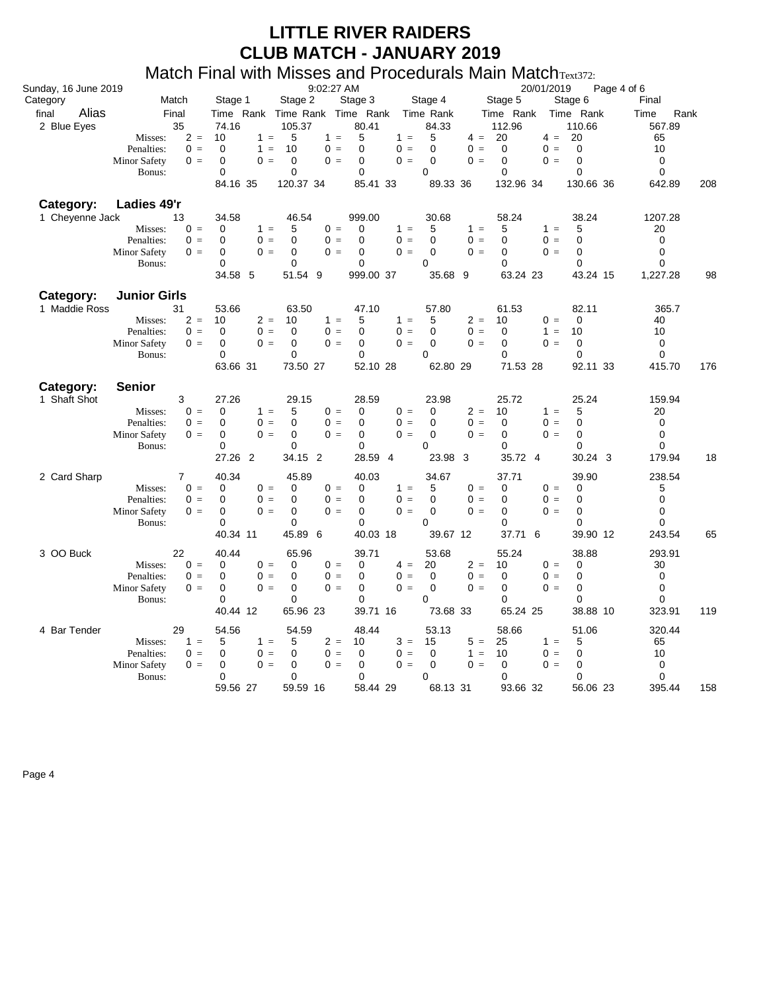#### Match Final with Misses and Procedurals Main MatchText372:

|                      |                              |                          |                                     |                          |                  | $1800$ uuluitu Ivian Iviaton Italiik         |                               |                   |
|----------------------|------------------------------|--------------------------|-------------------------------------|--------------------------|------------------|----------------------------------------------|-------------------------------|-------------------|
| Sunday, 16 June 2019 |                              |                          | 9:02:27 AM                          |                          |                  |                                              | 20/01/2019<br>Page 4 of 6     |                   |
| Category             | Match                        | Stage 1                  | Stage 2                             | Stage 3                  | Stage 4          | Stage 5                                      | Stage 6                       | Final             |
| Alias<br>final       | Final                        |                          | Time Rank Time Rank Time Rank       |                          | Time Rank        | Time Rank                                    | Time Rank                     | Time<br>Rank      |
| 2 Blue Eyes          | 35                           | 74.16                    | 105.37                              | 80.41                    | 84.33            | 112.96                                       | 110.66                        | 567.89            |
|                      | $2 =$<br>Misses:             | 10<br>$1 =$              | 5<br>$1 =$                          | 5<br>$1 =$               | 5                | 20<br>$4 =$                                  | 20<br>$4 =$<br>$\mathbf 0$    | 65                |
|                      | Penalties:<br>$0 =$<br>$0 =$ | 0<br>$1 =$<br>0<br>$0 =$ | 10<br>$0 =$<br>$\mathbf 0$<br>$0 =$ | $0 =$<br>0<br>$0 =$<br>0 | 0<br>$\mathbf 0$ | $0 =$<br>$\mathbf 0$<br>$0 =$<br>$\mathbf 0$ | $0 =$<br>$\mathbf 0$<br>$0 =$ | 10<br>$\mathbf 0$ |
|                      | <b>Minor Safety</b>          | 0                        | $\mathbf 0$                         | 0                        | 0                | $\mathbf 0$                                  | $\mathbf 0$                   | $\mathbf 0$       |
|                      | Bonus:                       | 84.16 35                 | 120.37 34                           | 85.41 33                 | 89.33 36         | 132.96 34                                    | 130.66 36                     | 208<br>642.89     |
|                      |                              |                          |                                     |                          |                  |                                              |                               |                   |
| Category:            | Ladies 49'r                  |                          |                                     |                          |                  |                                              |                               |                   |
| 1 Cheyenne Jack      | 13                           | 34.58                    | 46.54                               | 999.00                   | 30.68            | 58.24                                        | 38.24                         | 1207.28           |
|                      | $0 =$<br>Misses:             | $1 =$<br>0               | 5<br>$0 =$                          | $\Omega$<br>$1 =$        | 5                | $1 =$<br>5                                   | $1 =$<br>5                    | 20                |
|                      | Penalties:<br>$0 =$          | 0<br>$0 =$               | $\mathbf 0$<br>$0 =$                | $\Omega$<br>$0 =$        | 0                | $0 =$<br>$\mathbf 0$                         | $0 =$<br>$\Omega$             | $\mathbf 0$       |
|                      | <b>Minor Safety</b><br>$0 =$ | 0<br>$0 =$               | $0 =$<br>0<br>0                     | 0<br>$0 =$<br>0          | 0<br>0           | $0 =$<br>0<br>$\mathbf 0$                    | $0 =$<br>0                    | 0<br>$\mathbf 0$  |
|                      | Bonus:                       | 0<br>34.58 5             | 51.54 9                             | 999.00 37                | 35.68 9          | 63.24 23                                     | 0<br>43.24 15                 | 1,227.28<br>98    |
|                      |                              |                          |                                     |                          |                  |                                              |                               |                   |
| Category:            | <b>Junior Girls</b>          |                          |                                     |                          |                  |                                              |                               |                   |
| 1 Maddie Ross        | 31                           | 53.66                    | 63.50                               | 47.10                    | 57.80            | 61.53                                        | 82.11                         | 365.7             |
|                      | $2 =$<br>Misses:             | 10<br>$2 =$              | 10<br>$1 =$                         | 5<br>$1 =$               | 5                | $2 =$<br>10                                  | $0 =$<br>0                    | 40                |
|                      | Penalties:<br>$0 =$          | $0 =$<br>$\Omega$        | $0 =$<br>$\mathbf 0$                | $0 =$<br>$\Omega$        | 0                | $0 =$<br>0                                   | $1 =$<br>10                   | 10                |
|                      | Minor Safety<br>$0 =$        | $\Omega$<br>$0 =$        | $\mathbf 0$<br>$0 =$                | 0<br>$0 =$               | 0                | $0 =$<br>$\Omega$                            | $0 =$<br>0                    | 0                 |
|                      | Bonus:                       | $\Omega$                 | 0                                   | 0                        | 0                | $\mathbf 0$                                  | $\mathbf 0$                   | $\mathbf 0$       |
|                      |                              | 63.66 31                 | 73.50 27                            | 52.10 28                 | 62.80 29         | 71.53 28                                     | 92.11 33                      | 415.70<br>176     |
| Category:            | <b>Senior</b>                |                          |                                     |                          |                  |                                              |                               |                   |
| 1 Shaft Shot         | 3                            | 27.26                    | 29.15                               | 28.59                    | 23.98            | 25.72                                        | 25.24                         | 159.94            |
|                      | $0 =$<br>Misses:             | $1 =$<br>0               | 5<br>$0 =$                          | $0 =$<br>0               | 0                | $2 =$<br>10                                  | $1 =$<br>5                    | 20                |
|                      | Penalties:<br>$0 =$          | 0<br>$0 =$               | $\mathbf 0$<br>$0 =$                | $0 =$<br>0               | $\mathbf 0$      | $0 =$<br>$\mathbf 0$                         | $0 =$<br>0                    | 0                 |
|                      | <b>Minor Safety</b><br>$0 =$ | $0 =$<br>0               | $\Omega$<br>$0 =$                   | $0 =$<br>0               | 0                | $0 =$<br>$\Omega$                            | $0 =$<br>$\Omega$             | $\Omega$          |
|                      | Bonus:                       | $\Omega$                 | $\mathbf 0$                         | 0                        | $\Omega$         | $\Omega$                                     | $\Omega$                      | $\Omega$          |
|                      |                              | 27.26 2                  | 34.15 2                             | 28.59 4                  | 23.98            | 35.72 4<br>-3                                | 30.24 3                       | 179.94<br>18      |
| 2 Card Sharp         | 7                            | 40.34                    | 45.89                               | 40.03                    | 34.67            | 37.71                                        | 39.90                         | 238.54            |
|                      | Misses:<br>$0 =$             | 0<br>$0 =$               | 0<br>$0 =$                          | $1 =$<br>0               | 5                | $0 =$<br>0                                   | $0 =$<br>0                    | 5                 |
|                      | Penalties:<br>$0 =$          | 0<br>$0 =$               | $\mathbf 0$<br>$0 =$                | 0<br>$0 =$               | 0                | $0 =$<br>0                                   | $0 =$<br>0                    | $\mathbf 0$       |
|                      | <b>Minor Safety</b><br>$0 =$ | $\Omega$<br>$0 =$        | $\mathbf 0$<br>$0 =$                | $0 =$<br>0               | 0                | $0 =$<br>$\Omega$                            | $0 =$<br>$\Omega$             | 0                 |
|                      | Bonus:                       | 0                        | 0                                   | 0                        | 0                | 0                                            | 0                             | $\mathbf 0$       |
|                      |                              | 40.34 11                 | 45.89 6                             | 40.03 18                 | 39.67 12         | 37.71                                        | 6<br>39.90 12                 | 243.54<br>65      |
| 3 OO Buck            | 22                           | 40.44                    | 65.96                               | 39.71                    | 53.68            | 55.24                                        | 38.88                         | 293.91            |
|                      | $0 =$<br>Misses:             | 0<br>$0 =$               | 0<br>$0 =$                          | 0<br>$4 =$               | 20               | $2 =$<br>10                                  | $0 =$<br>0                    | 30                |
|                      | Penalties:<br>$0 =$          | $0 =$<br>0               | $0 =$<br>0                          | $\mathbf 0$<br>$0 =$     | $\mathbf 0$      | $0 =$<br>$\mathbf 0$                         | $0 =$<br>0                    | 0                 |
|                      | <b>Minor Safety</b><br>$0 =$ | 0<br>$0 =$               | $\mathbf 0$<br>$0 =$                | 0<br>$0 =$               | $\mathbf 0$      | $0 =$<br>$\mathbf 0$                         | $\mathbf 0$<br>$0 =$          | 0                 |
|                      | Bonus:                       | $\Omega$                 | $\mathbf 0$                         | 0                        | $\Omega$         | $\Omega$                                     | $\Omega$                      | 0                 |
|                      |                              | 40.44 12                 | 65.96 23                            | 39.71 16                 | 73.68 33         | 65.24 25                                     | 38.88 10                      | 119<br>323.91     |
| 4 Bar Tender         | 29                           | 54.56                    | 54.59                               | 48.44                    | 53.13            | 58.66                                        | 51.06                         | 320.44            |
|                      | $1 =$<br>Misses:             | 5<br>$1 =$               | $2 =$<br>5                          | $3 =$<br>10              | 15               | $5 =$<br>25                                  | 5<br>$1 =$                    | 65                |
|                      | Penalties:<br>$0 =$          | $0 =$<br>0               | 0<br>$0 =$                          | $0 =$<br>0               | 0                | $1 =$<br>10                                  | $0 =$<br>0                    | 10                |
|                      | <b>Minor Safety</b><br>$0 =$ | $0 =$<br>0               | $\mathbf 0$<br>$0 =$                | 0<br>$0 =$               | 0                | $0 =$<br>$\mathbf 0$                         | $\Omega$<br>$0 =$             | $\mathbf 0$       |
|                      | Bonus:                       | 0                        | 0                                   | 0                        | 0                | 0                                            | 0                             | 0                 |
|                      |                              | 59.56 27                 | 59.59 16                            | 58.44 29                 | 68.13 31         | 93.66 32                                     | 56.06 23                      | 395.44<br>158     |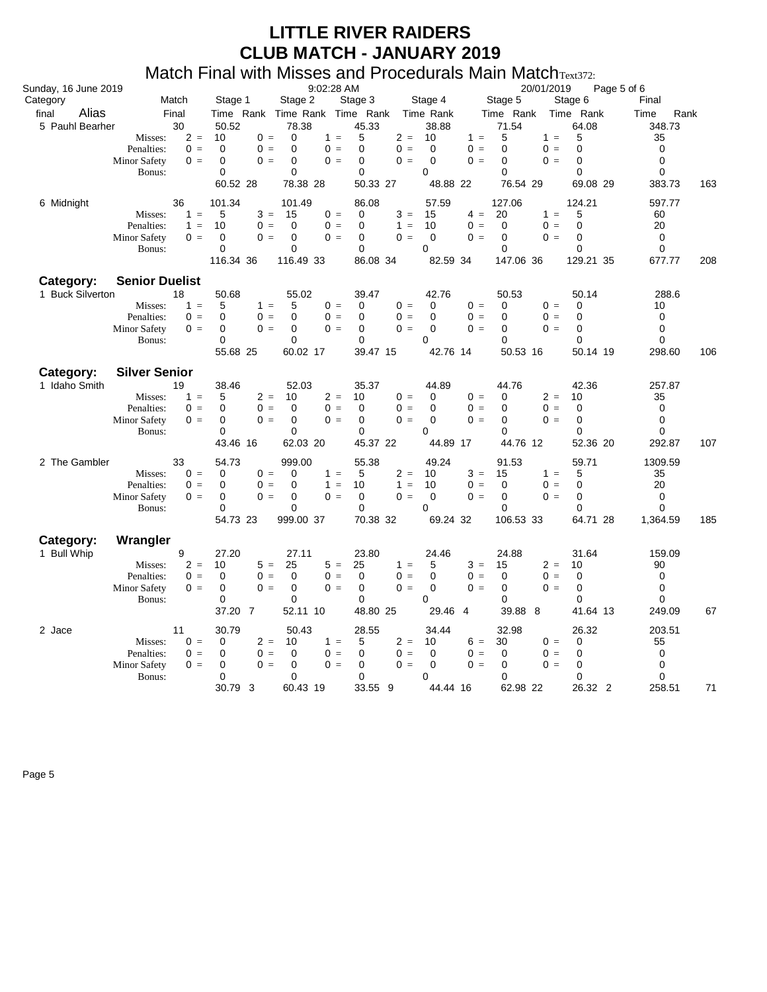#### Match Final with Misses and Procedurals Main MatchText372:

| Sunday, 16 June 2019              |                                                                                                                 |                                                                                | 9:02:28 AM                                                                                      |                                                                                                                              |                                                                 | 20/01/2019                                                                                          | Page 5 of 6                                                                                     |                                                                               |
|-----------------------------------|-----------------------------------------------------------------------------------------------------------------|--------------------------------------------------------------------------------|-------------------------------------------------------------------------------------------------|------------------------------------------------------------------------------------------------------------------------------|-----------------------------------------------------------------|-----------------------------------------------------------------------------------------------------|-------------------------------------------------------------------------------------------------|-------------------------------------------------------------------------------|
| Category                          | Match                                                                                                           | Stage 1                                                                        | Stage 2                                                                                         | Stage 3                                                                                                                      | Stage 4                                                         | Stage 5                                                                                             | Stage 6                                                                                         | Final                                                                         |
| Alias<br>final<br>5 Pauhl Bearher | Final<br>30<br>$2 =$<br>Misses:<br>Penalties:<br>$0 =$<br><b>Minor Safety</b><br>$0 =$<br>Bonus:                | 50.52<br>10<br>$0 =$<br>$0 =$<br>$\Omega$<br>0<br>$0 =$<br>0<br>60.52 28       | 78.38<br>0<br>$1 =$<br>$\mathbf 0$<br>$0 =$<br>$\mathbf 0$<br>$0 =$<br>0<br>78.38 28            | Time Rank Time Rank Time Rank Time Rank<br>45.33<br>5<br>$2 =$<br>$0 =$<br>$\Omega$<br>$0 =$<br>0<br>$\mathbf 0$<br>50.33 27 | 38.88<br>10<br>$\mathbf 0$<br>$\Omega$<br>$\Omega$<br>48.88 22  | Time Rank<br>71.54<br>5<br>$1 =$<br>$0 =$<br>$\Omega$<br>$0 =$<br>$\Omega$<br>$\Omega$<br>76.54 29  | Time Rank<br>64.08<br>5<br>$1 =$<br>$\Omega$<br>$0 =$<br>$\Omega$<br>$0 =$<br>0<br>69.08 29     | Rank<br>Time<br>348.73<br>35<br>$\mathbf 0$<br>$\Omega$<br>0<br>383.73<br>163 |
| 6 Midnight                        | 36<br>$1 =$<br>Misses:<br>Penalties:<br>$1 =$<br>Minor Safety<br>$0 =$<br>Bonus:                                | 101.34<br>5<br>$3 =$<br>10<br>$0 =$<br>$0 =$<br>0<br>0<br>116.34 36            | 101.49<br>$0 =$<br>15<br>0<br>$0 =$<br>0<br>$0 =$<br>0<br>116.49 33                             | 86.08<br>$3 =$<br>$\Omega$<br>0<br>$1 =$<br>$0 =$<br>0<br>$\mathbf 0$<br>86.08 34                                            | 57.59<br>15<br>10<br>$\mathbf 0$<br>$\mathbf 0$<br>82.59 34     | 127.06<br>$4 =$<br>20<br>$0 =$<br>$\Omega$<br>$\Omega =$<br>$\mathbf 0$<br>$\mathbf 0$<br>147.06 36 | 124.21<br>$1 =$<br>5<br>$0 =$<br>$\Omega$<br>$\Omega$<br>$\Omega =$<br>$\mathbf 0$<br>129.21 35 | 597.77<br>60<br>20<br>$\mathbf 0$<br>$\mathbf 0$<br>677.77<br>208             |
| Category:<br>1 Buck Silverton     | <b>Senior Duelist</b><br>18<br>Misses:<br>$1 =$<br>Penalties:<br>$0 =$<br>Minor Safety<br>$0 =$<br>Bonus:       | 50.68<br>5<br>$1 =$<br>$\Omega$<br>$0 =$<br>$0 =$<br>0<br>$\Omega$<br>55.68 25 | 55.02<br>5<br>$0 =$<br>$\Omega$<br>$0 =$<br>0<br>$0 =$<br>0<br>60.02 17                         | 39.47<br>$0 =$<br>0<br>$\Omega$<br>$0 =$<br>0<br>$0 =$<br>$\Omega$<br>39.47 15                                               | 42.76<br>0<br>$\mathbf 0$<br>0<br>$\Omega$<br>42.76 14          | 50.53<br>$0 =$<br>0<br>$0 =$<br>$\Omega$<br>$0 =$<br>$\Omega$<br>$\Omega$<br>50.53 16               | 50.14<br>$0 =$<br>0<br>$0 =$<br>$\Omega$<br>0<br>$0 =$<br>0<br>50.14 19                         | 288.6<br>10<br>$\mathbf 0$<br>$\Omega$<br>$\Omega$<br>298.60<br>106           |
| Category:<br>1 Idaho Smith        | <b>Silver Senior</b><br>19<br>Misses:<br>$1 =$<br>Penalties:<br>$0 =$<br><b>Minor Safety</b><br>$0 =$<br>Bonus: | 38.46<br>$2 =$<br>5<br>0<br>$0 =$<br>$\Omega$<br>$0 =$<br>0<br>43.46 16        | 52.03<br>$2 =$<br>10<br>$0 =$<br>0<br>$\mathbf 0$<br>$0 =$<br>0<br>62.03 20                     | 35.37<br>10<br>$0 =$<br>$0 =$<br>0<br>$0 =$<br>0<br>0<br>45.37 22                                                            | 44.89<br>0<br>$\mathbf 0$<br>$\Omega$<br>$\Omega$<br>44.89 17   | 44.76<br>$0 =$<br>0<br>$0 =$<br>0<br>$0 =$<br>$\Omega$<br>$\Omega$<br>44.76 12                      | 42.36<br>$2 =$<br>10<br>$0 =$<br>$\mathbf 0$<br>$0 =$<br>$\Omega$<br>$\Omega$<br>52.36 20       | 257.87<br>35<br>$\mathbf 0$<br>$\Omega$<br>0<br>107<br>292.87                 |
| 2 The Gambler                     | 33<br>$0 =$<br>Misses:<br>Penalties:<br>$0 =$<br>Minor Safety<br>$0 =$<br>Bonus:                                | 54.73<br>0<br>$0 =$<br>$0 =$<br>0<br>0<br>$0 =$<br>0<br>54.73 23               | 999.00<br>0<br>$1 =$<br>0<br>$1 =$<br>$\mathbf 0$<br>$0 =$<br>$\Omega$<br>999.00 37             | 55.38<br>$2 =$<br>5<br>10<br>$1 =$<br>0<br>$0 =$<br>$\Omega$<br>70.38 32                                                     | 49.24<br>10<br>10<br>$\Omega$<br>$\Omega$<br>69.24 32           | 91.53<br>$3 =$<br>15<br>$0 =$<br>0<br>$0 =$<br>$\Omega$<br>$\Omega$<br>106.53 33                    | 59.71<br>$1 =$<br>5<br>$0 =$<br>0<br>$\Omega$<br>$0 =$<br>$\Omega$<br>64.71 28                  | 1309.59<br>35<br>20<br>0<br>$\Omega$<br>1.364.59<br>185                       |
| Category:<br>1 Bull Whip          | Wrangler<br>9<br>$2 =$<br>Misses:<br>Penalties:<br>$0 =$<br><b>Minor Safety</b><br>$0 =$<br>Bonus:              | 27.20<br>10<br>$5 =$<br>$0 =$<br>$\mathbf 0$<br>$0 =$<br>0<br>0<br>37.20 7     | 27.11<br>$5 =$<br>25<br>$\mathbf 0$<br>$0 =$<br>$\mathbf 0$<br>$0 =$<br>$\mathbf 0$<br>52.11 10 | 23.80<br>25<br>$1 =$<br>$\mathbf 0$<br>$0 =$<br>0<br>$0 =$<br>$\Omega$<br>48.80 25                                           | 24.46<br>5<br>$\mathbf 0$<br>$\mathbf 0$<br>$\Omega$<br>29.46 4 | 24.88<br>$3 =$<br>15<br>$0 =$<br>$\mathbf 0$<br>$0 =$<br>$\mathbf 0$<br>$\Omega$<br>39.88 8         | 31.64<br>$2 =$<br>10<br>$0 =$<br>0<br>$\mathbf 0$<br>$0 =$<br>$\Omega$<br>41.64 13              | 159.09<br>90<br>$\mathbf 0$<br>0<br>$\Omega$<br>67<br>249.09                  |
| 2 Jace                            | 11<br>Misses:<br>$0 =$<br>Penalties:<br>$0 =$<br><b>Minor Safety</b><br>$0 =$<br>Bonus:                         | 30.79<br>$2 =$<br>0<br>$0 =$<br>0<br>$0 =$<br>0<br>0<br>30.79 3                | 50.43<br>$1 =$<br>10<br>$0 =$<br>0<br>0<br>$0 =$<br>0<br>60.43 19                               | 28.55<br>$2 =$<br>5<br>$0 =$<br>0<br>$0 =$<br>$\mathbf 0$<br>0<br>33.55 9                                                    | 34.44<br>10<br>0<br>$\mathbf 0$<br>$\Omega$<br>44.44 16         | 32.98<br>$6 =$<br>30<br>$0 =$<br>$\mathbf 0$<br>$0 =$<br>$\Omega$<br>0<br>62.98 22                  | 26.32<br>$0 =$<br>0<br>$0 =$<br>0<br>$\Omega$<br>$0 =$<br>0<br>26.32 2                          | 203.51<br>55<br>0<br>$\mathbf 0$<br>0<br>258.51<br>71                         |